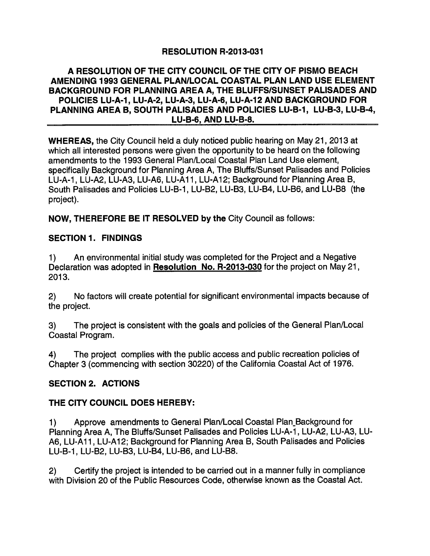## **RESOLUTION R-2013-031**

#### A RESOLUTION OF THE CITY COUNCIL OF THE CITY OF PISMO BEACH AMENDING 1993 GENERAL PLAN/LOCAL COASTAL PLAN LAND USE ELEMENT BACKGROUND FOR PLANNING AREA A. THE BLUFFS/SUNSET PALISADES AND POLICIES LU-A-1, LU-A-2, LU-A-3, LU-A-6, LU-A-12 AND BACKGROUND FOR PLANNING AREA B, SOUTH PALISADES AND POLICIES LU-B-1, LU-B-3, LU-B-4, LU-B-6, AND LU-B-8.

WHEREAS, the City Council held a duly noticed public hearing on May 21, 2013 at which all interested persons were given the opportunity to be heard on the following amendments to the 1993 General Plan /Local Coastal Plan Land Use element, specifically Background for Planning Area A, The Bluffs/Sunset Palisades and Policies LU -A -1, LU -A2, LU -A3, LU -A6, LU -A11, LU -Al2; Background for Planning Area B, South Palisades and Policies LU-B-1, LU-B2, LU-B3, LU-B4, LU-B6, and LU-B8 (the project).

NOW, THEREFORE BE IT RESOLVED by the City Council as follows:

### SECTION 1. FINDINGS

1) An environmental initial study was completed for the Project and a Negative Declaration was adopted in Resolution No. R-2013-030 for the project on May 21, 2013.

2) No factors will create potential for significant environmental impacts because of the project.

3) The project is consistent with the goals and policies of the General Plan /Local Coastal Program.

4) The project complies with the public access and public recreation policies of Chapter 3 ( commencing with section 30220) of the California Coastal Act of 1976.

### SECTION 2. ACTIONS

### THE CITY COUNCIL DOES HEREBY:

1) Approve amendments to General Plan /Local Coastal Plan Background for Planning Area A, The Bluffs/Sunset Palisades and Policies LU-A-1, LU-A2, LU-A3, LU-A6, LU-A11, LU-A12; Background for Planning Area B, South Palisades and Policies LU-B-1, LU-B2, LU-B3, LU-B4, LU-B6, and LU-B8.

2) Certify the project is intended to be carried out in a manner fully in compliance with Division 20 of the Public Resources Code, otherwise known as the Coastal Act.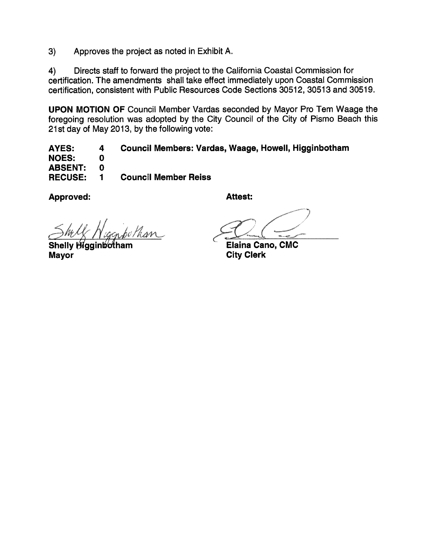3) Approves the project as noted in Exhibit A.

4) Directs staff to forward the project to the California Coastal Commission for certification. The amendments shall take effect immediately upon Coastal Commission certification, consistent with Public Resources Code Sections 30512, 30513 and 30519.

UPON MOTION OF Council Member Vardas seconded by Mayor Pro Tern Waage the foregoing resolution was adopted by the City Council of the City of Pismo Beach this 21 st day of May 2013, by the following vote:

AYES: 4 Council Members: Vardas, Waage, Howell, Higginbotham NOES: 0 ABSENT: 0 RECUSE: <sup>1</sup> Council Member Reiss

Approved: And Attest:

bothan

Shelly Higgin botham Mayor

Elaina Cano, CMC City Clerk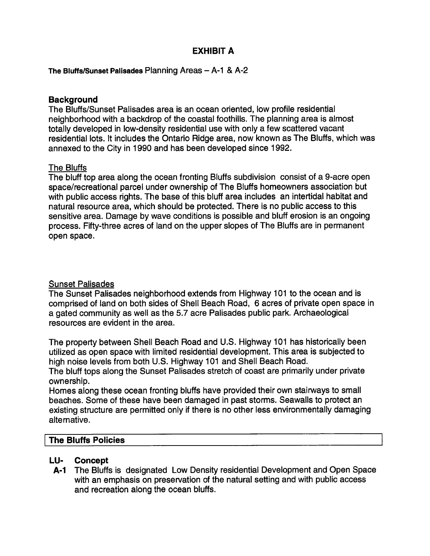## EXHIBIT A

The Bluffs/Sunset Palisades Planning Areas  $-$  A-1 & A-2

#### **Background**

The Bluffs/Sunset Palisades area is an ocean oriented, low profile residential neighborhood with a backdrop of the coastal foothills. The planning area is almost totally developed in low-density residential use with only a few scattered vacant residential lots. It includes the Ontario Ridge area, now known as The Bluffs, which was annexed to the City in 1990 and has been developed since 1992.

#### The Bluffs

The bluff top area along the ocean fronting Bluffs subdivision consist of a 9 -acre open space /recreational parcel under ownership of The Bluffs homeowners association but with public access rights. The base of this bluff area includes an intertidal habitat and natural resource area, which should be protected. There is no public access to this sensitive area. Damage by wave conditions is possible and bluff erosion is an ongoing process. Fifty -three acres of land on the upper slopes of The Bluffs are in permanent open space.

#### Sunset Palisades

The Sunset Palisades neighborhood extends from Highway 101 to the ocean and is comprised of land on both sides of Shell Beach Road, 6 acres of private open space in a gated community as well as the 5.7 acre Palisades public park. Archaeological resources are evident in the area.

The property between Shell Beach Road and U.S. Highway 101 has historically been utilized as open space with limited residential development. This area is subjected to high noise levels from both U.S. Highway 101 and Shell Beach Road.

The bluff tops along the Sunset Palisades stretch of coast are primarily under private ownership.

Homes along these ocean fronting bluffs have provided their own stairways to small beaches. Some of these have been damaged in past storms. Seawalls to protect an existing structure are permitted only if there is no other less environmentally damaging alternative.

#### The Bluffs Policies

#### LU- Concept

A-1 The Bluffs is designated Low Density residential Development and Open Space with an emphasis on preservation of the natural setting and with public access and recreation along the ocean bluffs.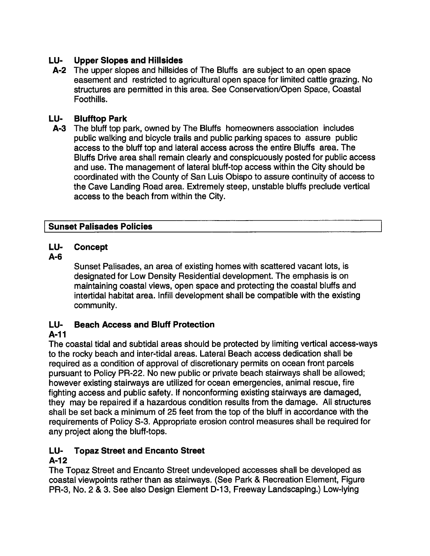## LU- Upper Slopes and Hillsides

A-2 The upper slopes and hillsides of The Bluffs are subject to an open space easement and restricted to agricultural open space for limited cattle grazing. No structures are permitted in this area. See Conservation /Open Space, Coastal Foothills.

### LU- Blufftop Park

A-3 The bluff top park, owned by The Bluffs homeowners association includes public walking and bicycle trails and public parking spaces to assure public access to the bluff top and lateral access across the entire Bluffs area. The Bluffs Drive area shall remain clearly and conspicuously posted for public access and use. The management of lateral bluff -top access within the City should be coordinated with the County of San Luis Obispo to assure continuity of access to the Cave Landing Road area. Extremely steep, unstable bluffs preclude vertical access to the beach from within the City.

### Sunset Palisades Policies

### LU- Concept

### A -6

Sunset Palisades, an area of existing homes with scattered vacant lots, is designated for Low Density Residential development. The emphasis is on maintaining coastal views, open space and protecting the coastal bluffs and intertidal habitat area. Infill development shall be compatible with the existing community.

### LU- Beach Access and Bluff Protection

### A -11

The coastal tidal and subtidal areas should be protected by limiting vertical access -ways to the rocky beach and inter -tidal areas. Lateral Beach access dedication shall be required as a condition of approval of discretionary permits on ocean front parcels pursuant to Policy PR -22. No new public or private beach stairways shall be allowed; however existing stairways are utilized for ocean emergencies, animal rescue, fire fighting access and public safety. If nonconforming existing stairways are damaged, they may be repaired if a hazardous condition results from the damage. All structures shall be set back a minimum of 25 feet from the top of the bluff in accordance with the requirements of Policy S-3. Appropriate erosion control measures shall be required for any project along the bluff-tops.

# LU- Topaz Street and Encanto Street

## $A - 12$

The Topaz Street and Encanto Street undeveloped accesses shall be developed as coastal viewpoints rather than as stairways. (See Park & Recreation Element, Figure PR-3, No. 2 & 3. See also Design Element D-13, Freeway Landscaping.) Low-lying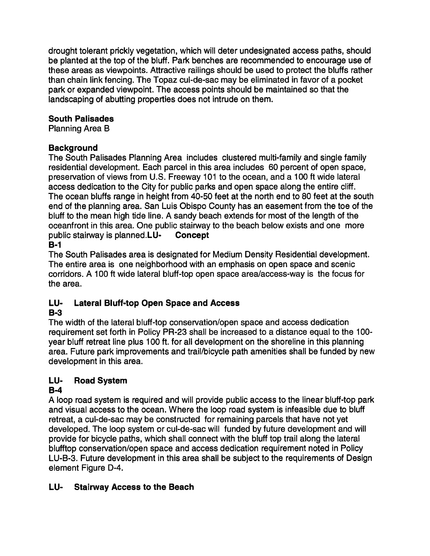drought tolerant prickly vegetation, which will deter undesignated access paths, should be planted at the top of the bluff. Park benches are recommended to encourage use of these areas as viewpoints. Attractive railings should be used to protect the bluffs rather than chain link fencing. The Topaz cul -de -sac may be eliminated in favor of a pocket park or expanded viewpoint. The access points should be maintained so that the landscaping of abutting properties does not intrude on them.

## South Palisades

Planning Area B

## **Background**

The South Palisades Planning Area includes clustered multi-family and single family residential development. Each parcel in this area includes 60 percent of open space, preservation of views from U.S. Freeway 101 to the ocean, and a 100 ft wide lateral access dedication to the City for public parks and open space along the entire cliff. The ocean bluffs range in height from 40 -50 feet at the north end to 80 feet at the south end of the planning area. San Luis Obispo County has an easement from the toe of the bluff to the mean high tide line. A sandy beach extends for most of the length of the oceanfront in this area. One public stairway to the beach below exists and one more public stairway is planned. LU-<br>Concept public stairway is planned. $LU B-1$ 

The South Palisades area is designated for Medium Density Residential development. The entire area is one neighborhood with an emphasis on open space and scenic corridors. A 100 ft wide lateral bluff-top open space area/access-way is the focus for the area.

# LU- Lateral Bluff-top Open Space and Access

# B-3

The width of the lateral bluff -top conservation /open space and access dedication requirement set forth in Policy PR-23 shall be increased to a distance equal to the 100year bluff retreat line plus 100 ft. for all development on the shoreline in this planning area. Future park improvements and trail/bicycle path amenities shall be funded by new development in this area.

# LU- Road System

# $B - 4$

A loop road system is required and will provide public access to the linear bluff -top park and visual access to the ocean. Where the loop road system is infeasible due to bluff retreat, a cul-de-sac may be constructed for remaining parcels that have not yet developed. The loop system or cul-de-sac will funded by future development and will provide for bicycle paths, which shall connect with the bluff top trail along the lateral blufftop conservation /open space and access dedication requirement noted in Policy LU-B-3. Future development in this area shall be subject to the requirements of Design element Figure D-4.

# LU- Stairway Access to the Beach